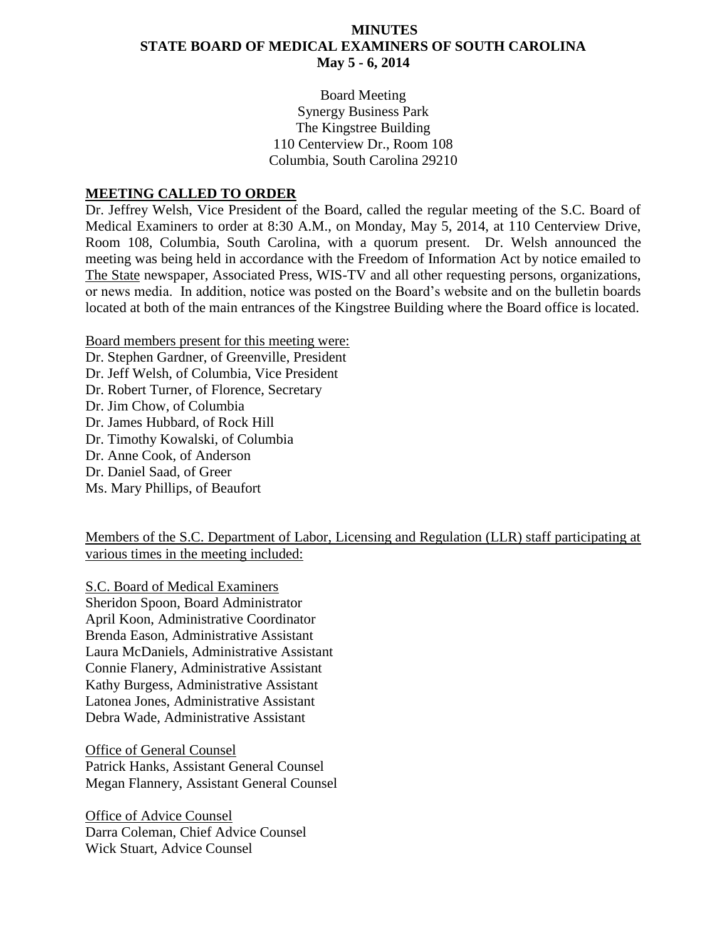#### **MINUTES STATE BOARD OF MEDICAL EXAMINERS OF SOUTH CAROLINA May 5 - 6, 2014**

Board Meeting Synergy Business Park The Kingstree Building 110 Centerview Dr., Room 108 Columbia, South Carolina 29210

#### **MEETING CALLED TO ORDER**

Dr. Jeffrey Welsh, Vice President of the Board, called the regular meeting of the S.C. Board of Medical Examiners to order at 8:30 A.M., on Monday, May 5, 2014, at 110 Centerview Drive, Room 108, Columbia, South Carolina, with a quorum present. Dr. Welsh announced the meeting was being held in accordance with the Freedom of Information Act by notice emailed to The State newspaper, Associated Press, WIS-TV and all other requesting persons, organizations, or news media. In addition, notice was posted on the Board's website and on the bulletin boards located at both of the main entrances of the Kingstree Building where the Board office is located.

Board members present for this meeting were: Dr. Stephen Gardner, of Greenville, President Dr. Jeff Welsh, of Columbia, Vice President Dr. Robert Turner, of Florence, Secretary Dr. Jim Chow, of Columbia Dr. James Hubbard, of Rock Hill Dr. Timothy Kowalski, of Columbia Dr. Anne Cook, of Anderson Dr. Daniel Saad, of Greer Ms. Mary Phillips, of Beaufort

Members of the S.C. Department of Labor, Licensing and Regulation (LLR) staff participating at various times in the meeting included:

S.C. Board of Medical Examiners Sheridon Spoon, Board Administrator April Koon, Administrative Coordinator Brenda Eason, Administrative Assistant Laura McDaniels, Administrative Assistant Connie Flanery, Administrative Assistant Kathy Burgess, Administrative Assistant Latonea Jones, Administrative Assistant Debra Wade, Administrative Assistant

Office of General Counsel Patrick Hanks, Assistant General Counsel Megan Flannery, Assistant General Counsel

Office of Advice Counsel Darra Coleman, Chief Advice Counsel Wick Stuart, Advice Counsel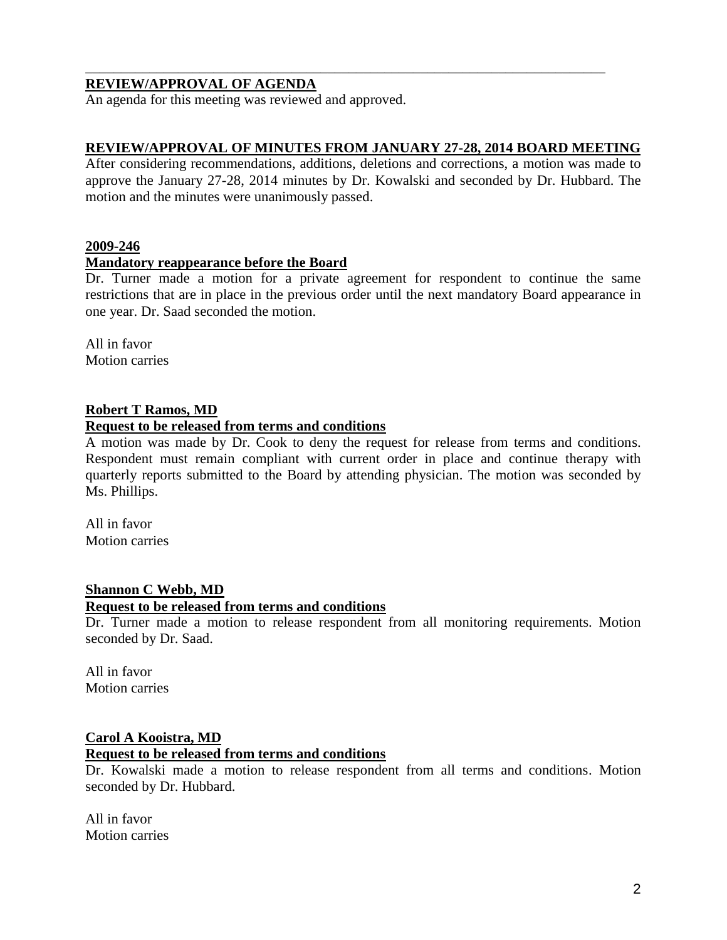#### **REVIEW/APPROVAL OF AGENDA**

An agenda for this meeting was reviewed and approved.

#### **REVIEW/APPROVAL OF MINUTES FROM JANUARY 27-28, 2014 BOARD MEETING**

\_\_\_\_\_\_\_\_\_\_\_\_\_\_\_\_\_\_\_\_\_\_\_\_\_\_\_\_\_\_\_\_\_\_\_\_\_\_\_\_\_\_\_\_\_\_\_\_\_\_\_\_\_\_\_\_\_\_\_\_\_\_\_\_\_\_\_\_\_\_\_\_\_

After considering recommendations, additions, deletions and corrections, a motion was made to approve the January 27-28, 2014 minutes by Dr. Kowalski and seconded by Dr. Hubbard. The motion and the minutes were unanimously passed.

#### **2009-246**

#### **Mandatory reappearance before the Board**

Dr. Turner made a motion for a private agreement for respondent to continue the same restrictions that are in place in the previous order until the next mandatory Board appearance in one year. Dr. Saad seconded the motion.

All in favor Motion carries

#### **Robert T Ramos, MD**

#### **Request to be released from terms and conditions**

A motion was made by Dr. Cook to deny the request for release from terms and conditions. Respondent must remain compliant with current order in place and continue therapy with quarterly reports submitted to the Board by attending physician. The motion was seconded by Ms. Phillips.

All in favor Motion carries

#### **Shannon C Webb, MD**

#### **Request to be released from terms and conditions**

Dr. Turner made a motion to release respondent from all monitoring requirements. Motion seconded by Dr. Saad.

All in favor Motion carries

#### **Carol A Kooistra, MD**

#### **Request to be released from terms and conditions**

Dr. Kowalski made a motion to release respondent from all terms and conditions. Motion seconded by Dr. Hubbard.

All in favor Motion carries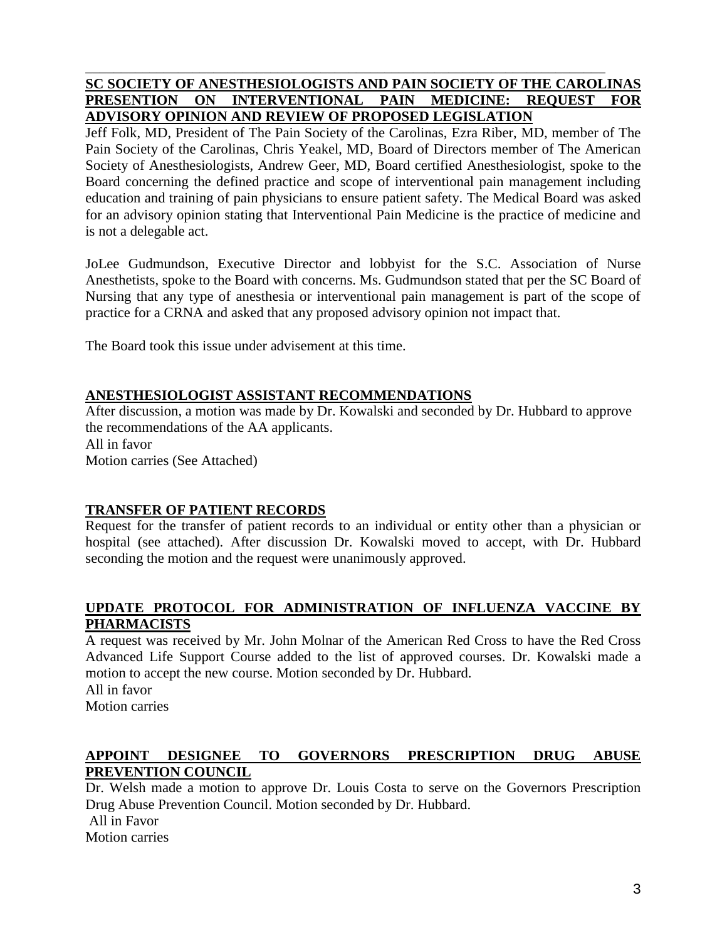#### **SC SOCIETY OF ANESTHESIOLOGISTS AND PAIN SOCIETY OF THE CAROLINAS PRESENTION ON INTERVENTIONAL PAIN MEDICINE: REQUEST FOR ADVISORY OPINION AND REVIEW OF PROPOSED LEGISLATION**

\_\_\_\_\_\_\_\_\_\_\_\_\_\_\_\_\_\_\_\_\_\_\_\_\_\_\_\_\_\_\_\_\_\_\_\_\_\_\_\_\_\_\_\_\_\_\_\_\_\_\_\_\_\_\_\_\_\_\_\_\_\_\_\_\_\_\_\_\_\_\_\_\_

Jeff Folk, MD, President of The Pain Society of the Carolinas, Ezra Riber, MD, member of The Pain Society of the Carolinas, Chris Yeakel, MD, Board of Directors member of The American Society of Anesthesiologists, Andrew Geer, MD, Board certified Anesthesiologist, spoke to the Board concerning the defined practice and scope of interventional pain management including education and training of pain physicians to ensure patient safety. The Medical Board was asked for an advisory opinion stating that Interventional Pain Medicine is the practice of medicine and is not a delegable act.

JoLee Gudmundson, Executive Director and lobbyist for the S.C. Association of Nurse Anesthetists, spoke to the Board with concerns. Ms. Gudmundson stated that per the SC Board of Nursing that any type of anesthesia or interventional pain management is part of the scope of practice for a CRNA and asked that any proposed advisory opinion not impact that.

The Board took this issue under advisement at this time.

## **ANESTHESIOLOGIST ASSISTANT RECOMMENDATIONS**

After discussion, a motion was made by Dr. Kowalski and seconded by Dr. Hubbard to approve the recommendations of the AA applicants. All in favor Motion carries (See Attached)

#### **TRANSFER OF PATIENT RECORDS**

Request for the transfer of patient records to an individual or entity other than a physician or hospital (see attached). After discussion Dr. Kowalski moved to accept, with Dr. Hubbard seconding the motion and the request were unanimously approved.

#### **UPDATE PROTOCOL FOR ADMINISTRATION OF INFLUENZA VACCINE BY PHARMACISTS**

A request was received by Mr. John Molnar of the American Red Cross to have the Red Cross Advanced Life Support Course added to the list of approved courses. Dr. Kowalski made a motion to accept the new course. Motion seconded by Dr. Hubbard.

All in favor Motion carries

## **APPOINT DESIGNEE TO GOVERNORS PRESCRIPTION DRUG ABUSE PREVENTION COUNCIL**

Dr. Welsh made a motion to approve Dr. Louis Costa to serve on the Governors Prescription Drug Abuse Prevention Council. Motion seconded by Dr. Hubbard.

All in Favor

Motion carries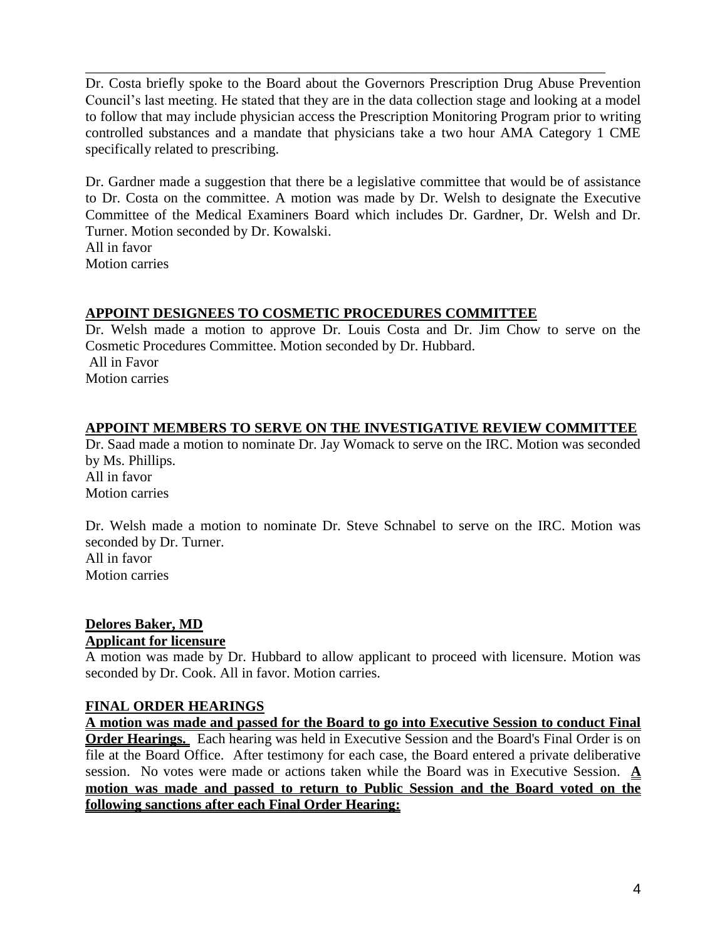Dr. Costa briefly spoke to the Board about the Governors Prescription Drug Abuse Prevention Council's last meeting. He stated that they are in the data collection stage and looking at a model to follow that may include physician access the Prescription Monitoring Program prior to writing controlled substances and a mandate that physicians take a two hour AMA Category 1 CME specifically related to prescribing.

\_\_\_\_\_\_\_\_\_\_\_\_\_\_\_\_\_\_\_\_\_\_\_\_\_\_\_\_\_\_\_\_\_\_\_\_\_\_\_\_\_\_\_\_\_\_\_\_\_\_\_\_\_\_\_\_\_\_\_\_\_\_\_\_\_\_\_\_\_\_\_\_\_

Dr. Gardner made a suggestion that there be a legislative committee that would be of assistance to Dr. Costa on the committee. A motion was made by Dr. Welsh to designate the Executive Committee of the Medical Examiners Board which includes Dr. Gardner, Dr. Welsh and Dr. Turner. Motion seconded by Dr. Kowalski. All in favor

Motion carries

#### **APPOINT DESIGNEES TO COSMETIC PROCEDURES COMMITTEE**

Dr. Welsh made a motion to approve Dr. Louis Costa and Dr. Jim Chow to serve on the Cosmetic Procedures Committee. Motion seconded by Dr. Hubbard. All in Favor Motion carries

#### **APPOINT MEMBERS TO SERVE ON THE INVESTIGATIVE REVIEW COMMITTEE**

Dr. Saad made a motion to nominate Dr. Jay Womack to serve on the IRC. Motion was seconded by Ms. Phillips. All in favor Motion carries

Dr. Welsh made a motion to nominate Dr. Steve Schnabel to serve on the IRC. Motion was seconded by Dr. Turner. All in favor Motion carries

#### **Delores Baker, MD Applicant for licensure**

A motion was made by Dr. Hubbard to allow applicant to proceed with licensure. Motion was seconded by Dr. Cook. All in favor. Motion carries.

#### **FINAL ORDER HEARINGS**

**A motion was made and passed for the Board to go into Executive Session to conduct Final Order Hearings.** Each hearing was held in Executive Session and the Board's Final Order is on file at the Board Office. After testimony for each case, the Board entered a private deliberative session. No votes were made or actions taken while the Board was in Executive Session. **A motion was made and passed to return to Public Session and the Board voted on the following sanctions after each Final Order Hearing:**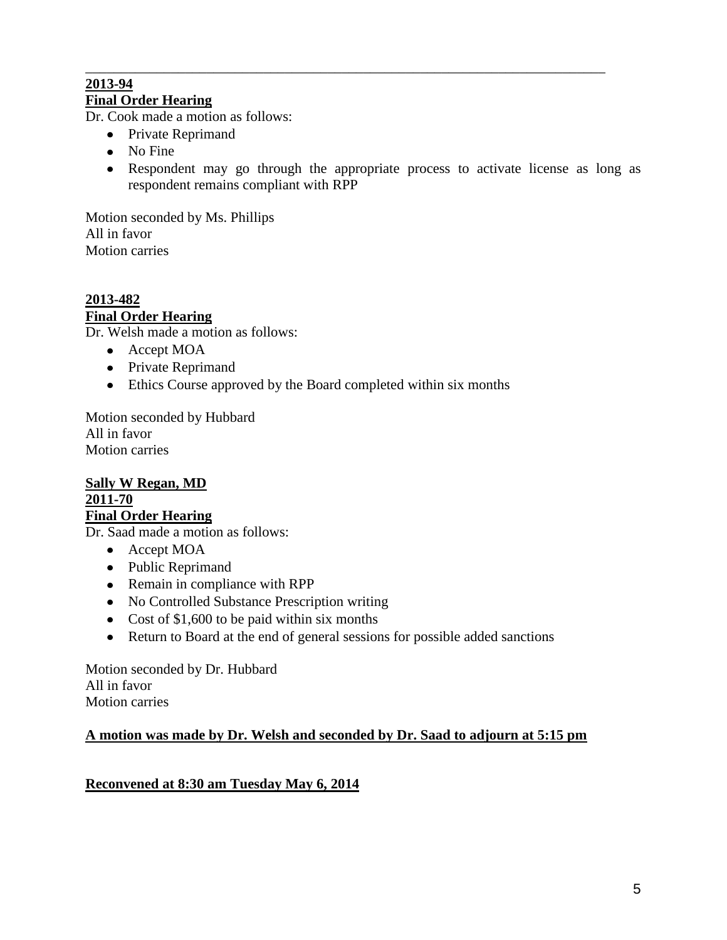#### \_\_\_\_\_\_\_\_\_\_\_\_\_\_\_\_\_\_\_\_\_\_\_\_\_\_\_\_\_\_\_\_\_\_\_\_\_\_\_\_\_\_\_\_\_\_\_\_\_\_\_\_\_\_\_\_\_\_\_\_\_\_\_\_\_\_\_\_\_\_\_\_\_ **2013-94 Final Order Hearing**

Dr. Cook made a motion as follows:

- Private Reprimand
- No Fine
- Respondent may go through the appropriate process to activate license as long as respondent remains compliant with RPP

Motion seconded by Ms. Phillips All in favor Motion carries

**2013-482 Final Order Hearing**

Dr. Welsh made a motion as follows:

- Accept MOA
- Private Reprimand
- Ethics Course approved by the Board completed within six months

Motion seconded by Hubbard All in favor Motion carries

#### **Sally W Regan, MD 2011-70 Final Order Hearing**

Dr. Saad made a motion as follows:

- Accept MOA
- Public Reprimand
- Remain in compliance with RPP
- No Controlled Substance Prescription writing
- Cost of \$1,600 to be paid within six months
- Return to Board at the end of general sessions for possible added sanctions

Motion seconded by Dr. Hubbard All in favor Motion carries

#### **A motion was made by Dr. Welsh and seconded by Dr. Saad to adjourn at 5:15 pm**

#### **Reconvened at 8:30 am Tuesday May 6, 2014**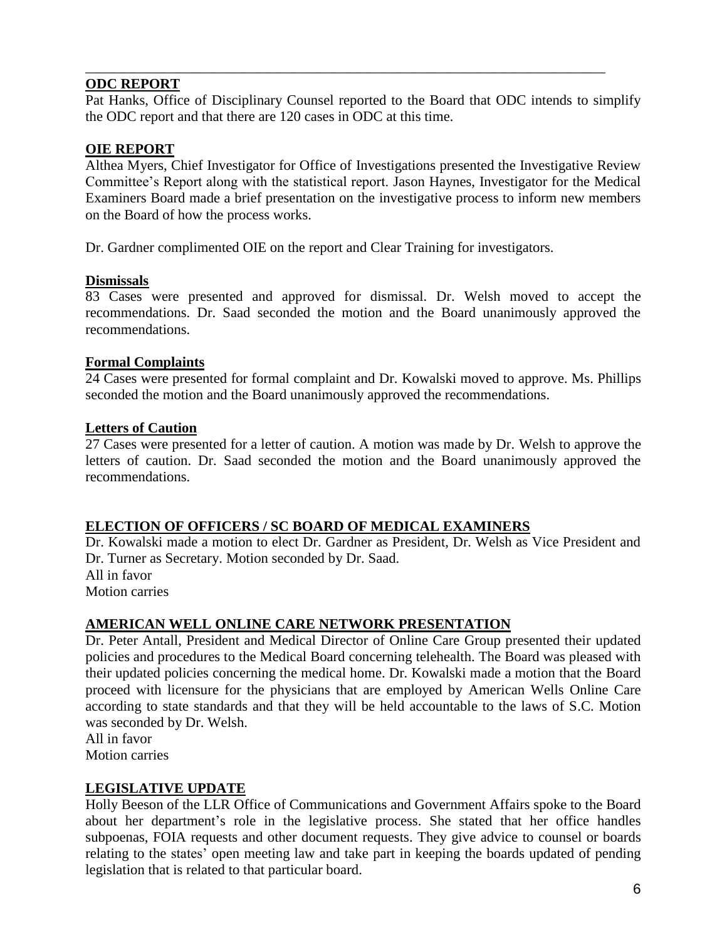#### **ODC REPORT**

Pat Hanks, Office of Disciplinary Counsel reported to the Board that ODC intends to simplify the ODC report and that there are 120 cases in ODC at this time.

\_\_\_\_\_\_\_\_\_\_\_\_\_\_\_\_\_\_\_\_\_\_\_\_\_\_\_\_\_\_\_\_\_\_\_\_\_\_\_\_\_\_\_\_\_\_\_\_\_\_\_\_\_\_\_\_\_\_\_\_\_\_\_\_\_\_\_\_\_\_\_\_\_

#### **OIE REPORT**

Althea Myers, Chief Investigator for Office of Investigations presented the Investigative Review Committee's Report along with the statistical report. Jason Haynes, Investigator for the Medical Examiners Board made a brief presentation on the investigative process to inform new members on the Board of how the process works.

Dr. Gardner complimented OIE on the report and Clear Training for investigators.

#### **Dismissals**

83 Cases were presented and approved for dismissal. Dr. Welsh moved to accept the recommendations. Dr. Saad seconded the motion and the Board unanimously approved the recommendations.

#### **Formal Complaints**

24 Cases were presented for formal complaint and Dr. Kowalski moved to approve. Ms. Phillips seconded the motion and the Board unanimously approved the recommendations.

#### **Letters of Caution**

27 Cases were presented for a letter of caution. A motion was made by Dr. Welsh to approve the letters of caution. Dr. Saad seconded the motion and the Board unanimously approved the recommendations.

#### **ELECTION OF OFFICERS / SC BOARD OF MEDICAL EXAMINERS**

Dr. Kowalski made a motion to elect Dr. Gardner as President, Dr. Welsh as Vice President and Dr. Turner as Secretary. Motion seconded by Dr. Saad. All in favor Motion carries

#### **AMERICAN WELL ONLINE CARE NETWORK PRESENTATION**

Dr. Peter Antall, President and Medical Director of Online Care Group presented their updated policies and procedures to the Medical Board concerning telehealth. The Board was pleased with their updated policies concerning the medical home. Dr. Kowalski made a motion that the Board proceed with licensure for the physicians that are employed by American Wells Online Care according to state standards and that they will be held accountable to the laws of S.C. Motion was seconded by Dr. Welsh.

All in favor Motion carries

#### **LEGISLATIVE UPDATE**

Holly Beeson of the LLR Office of Communications and Government Affairs spoke to the Board about her department's role in the legislative process. She stated that her office handles subpoenas, FOIA requests and other document requests. They give advice to counsel or boards relating to the states' open meeting law and take part in keeping the boards updated of pending legislation that is related to that particular board.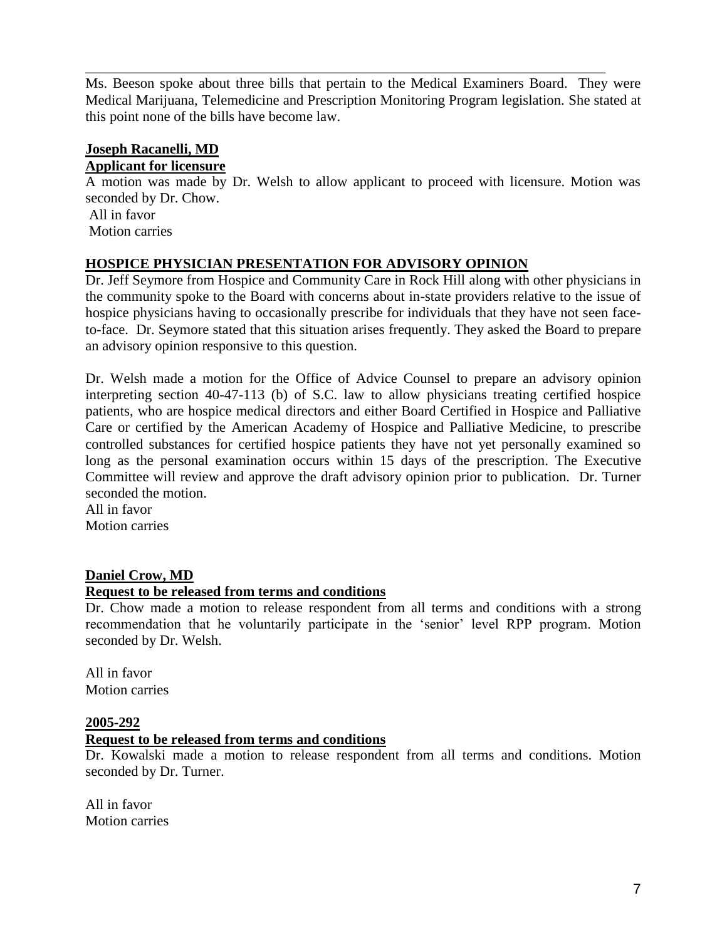Ms. Beeson spoke about three bills that pertain to the Medical Examiners Board. They were Medical Marijuana, Telemedicine and Prescription Monitoring Program legislation. She stated at this point none of the bills have become law.

\_\_\_\_\_\_\_\_\_\_\_\_\_\_\_\_\_\_\_\_\_\_\_\_\_\_\_\_\_\_\_\_\_\_\_\_\_\_\_\_\_\_\_\_\_\_\_\_\_\_\_\_\_\_\_\_\_\_\_\_\_\_\_\_\_\_\_\_\_\_\_\_\_

#### **Joseph Racanelli, MD**

#### **Applicant for licensure**

A motion was made by Dr. Welsh to allow applicant to proceed with licensure. Motion was seconded by Dr. Chow.

All in favor Motion carries

#### **HOSPICE PHYSICIAN PRESENTATION FOR ADVISORY OPINION**

Dr. Jeff Seymore from Hospice and Community Care in Rock Hill along with other physicians in the community spoke to the Board with concerns about in-state providers relative to the issue of hospice physicians having to occasionally prescribe for individuals that they have not seen faceto-face. Dr. Seymore stated that this situation arises frequently. They asked the Board to prepare an advisory opinion responsive to this question.

Dr. Welsh made a motion for the Office of Advice Counsel to prepare an advisory opinion interpreting section 40-47-113 (b) of S.C. law to allow physicians treating certified hospice patients, who are hospice medical directors and either Board Certified in Hospice and Palliative Care or certified by the American Academy of Hospice and Palliative Medicine, to prescribe controlled substances for certified hospice patients they have not yet personally examined so long as the personal examination occurs within 15 days of the prescription. The Executive Committee will review and approve the draft advisory opinion prior to publication. Dr. Turner seconded the motion.

All in favor Motion carries

#### **Daniel Crow, MD**

#### **Request to be released from terms and conditions**

Dr. Chow made a motion to release respondent from all terms and conditions with a strong recommendation that he voluntarily participate in the 'senior' level RPP program. Motion seconded by Dr. Welsh.

All in favor Motion carries

#### **2005-292**

#### **Request to be released from terms and conditions**

Dr. Kowalski made a motion to release respondent from all terms and conditions. Motion seconded by Dr. Turner.

All in favor Motion carries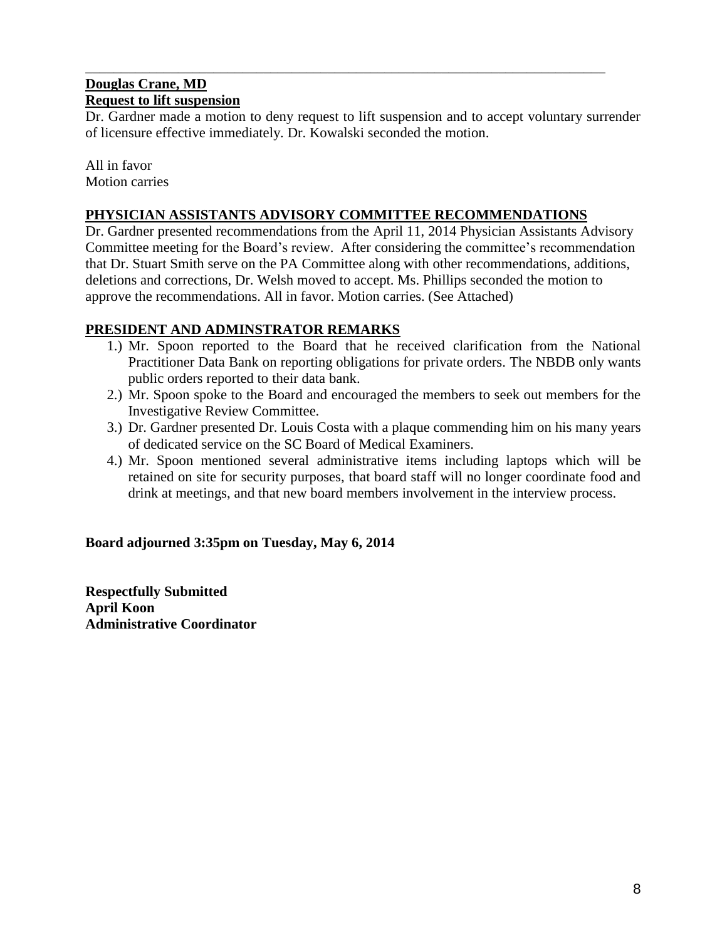#### **Douglas Crane, MD Request to lift suspension**

Dr. Gardner made a motion to deny request to lift suspension and to accept voluntary surrender of licensure effective immediately. Dr. Kowalski seconded the motion.

\_\_\_\_\_\_\_\_\_\_\_\_\_\_\_\_\_\_\_\_\_\_\_\_\_\_\_\_\_\_\_\_\_\_\_\_\_\_\_\_\_\_\_\_\_\_\_\_\_\_\_\_\_\_\_\_\_\_\_\_\_\_\_\_\_\_\_\_\_\_\_\_\_

All in favor Motion carries

#### **PHYSICIAN ASSISTANTS ADVISORY COMMITTEE RECOMMENDATIONS**

Dr. Gardner presented recommendations from the April 11, 2014 Physician Assistants Advisory Committee meeting for the Board's review. After considering the committee's recommendation that Dr. Stuart Smith serve on the PA Committee along with other recommendations, additions, deletions and corrections, Dr. Welsh moved to accept. Ms. Phillips seconded the motion to approve the recommendations. All in favor. Motion carries. (See Attached)

#### **PRESIDENT AND ADMINSTRATOR REMARKS**

- 1.) Mr. Spoon reported to the Board that he received clarification from the National Practitioner Data Bank on reporting obligations for private orders. The NBDB only wants public orders reported to their data bank.
- 2.) Mr. Spoon spoke to the Board and encouraged the members to seek out members for the Investigative Review Committee.
- 3.) Dr. Gardner presented Dr. Louis Costa with a plaque commending him on his many years of dedicated service on the SC Board of Medical Examiners.
- 4.) Mr. Spoon mentioned several administrative items including laptops which will be retained on site for security purposes, that board staff will no longer coordinate food and drink at meetings, and that new board members involvement in the interview process.

## **Board adjourned 3:35pm on Tuesday, May 6, 2014**

**Respectfully Submitted April Koon Administrative Coordinator**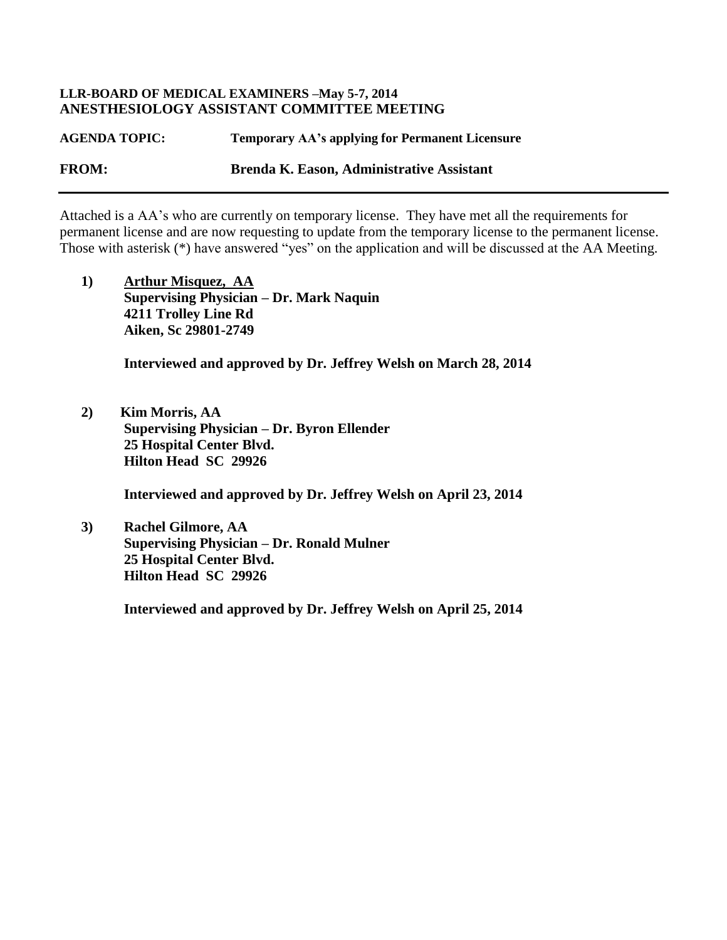#### **LLR-BOARD OF MEDICAL EXAMINERS –May 5-7, 2014 ANESTHESIOLOGY ASSISTANT COMMITTEE MEETING**

**AGENDA TOPIC: Temporary AA's applying for Permanent Licensure FROM: Brenda K. Eason, Administrative Assistant**

Attached is a AA's who are currently on temporary license. They have met all the requirements for permanent license and are now requesting to update from the temporary license to the permanent license. Those with asterisk (\*) have answered "yes" on the application and will be discussed at the AA Meeting.

**1) Arthur Misquez, AA Supervising Physician – Dr. Mark Naquin 4211 Trolley Line Rd Aiken, Sc 29801-2749**

 **Interviewed and approved by Dr. Jeffrey Welsh on March 28, 2014**

**2) Kim Morris, AA Supervising Physician – Dr. Byron Ellender 25 Hospital Center Blvd. Hilton Head SC 29926**

 **Interviewed and approved by Dr. Jeffrey Welsh on April 23, 2014**

**3) Rachel Gilmore, AA Supervising Physician – Dr. Ronald Mulner 25 Hospital Center Blvd. Hilton Head SC 29926**

 **Interviewed and approved by Dr. Jeffrey Welsh on April 25, 2014**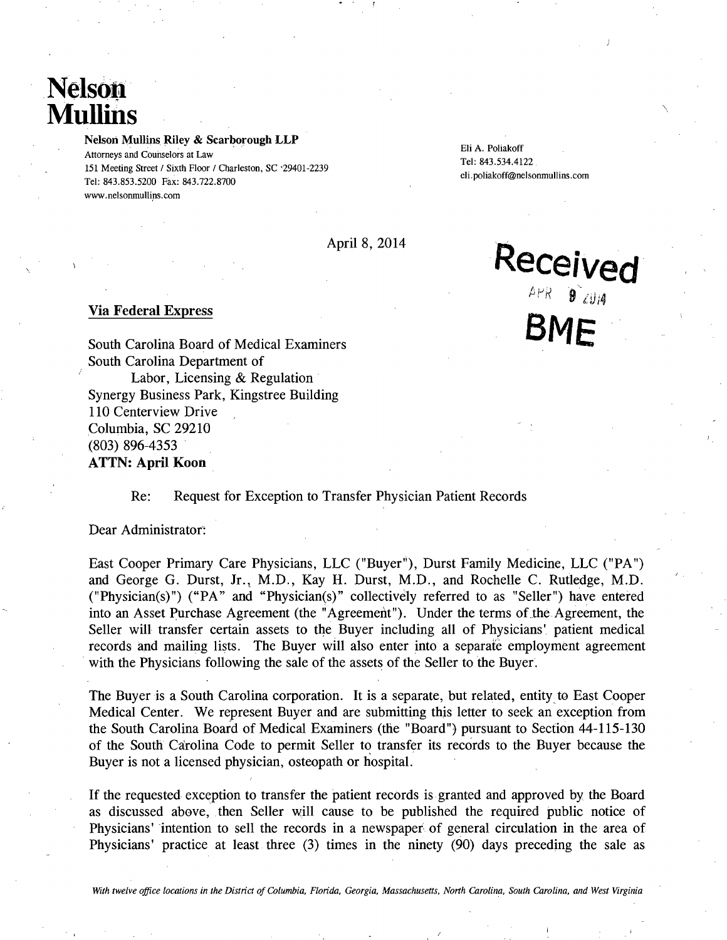# **Nelson Mullins**

Nelson Mullins Riley & Scarborough LLP

Eli A. Poliakoff Attorneys and Counselors at Law 151 Meeting Street / Sixth Floor / Charleston, SC '29401-2239 eli. poliakoff@nelsonmullins.com Tel: 843.853.5200 Fax: 843.722.8700 Fax: 843.722.8700 www.nelsonmullins.com

Tel: 843.534.4122

**BME** 

Received

 $APR = 9$   $114$ 

April 8, 2014

#### Via Federal Express

South Carolina Board of Medical Examiners South Carolina Department of Labor, Licensing & Regulation Synergy Business Park, Kingstree Building 110 Centerview Drive Columbia, SC 29210 (803) 896-4353 ATTN: April Koon

#### Re: Request for Exception to Transfer Physician Patient Records

Dear Administrator:

East Cooper Primary Care Physicians, LLC ("Buyer"), Durst Family Medicine, LLC ("PA") and George G. Durst, Jr., M.D., Kay H. Durst, M.D., and Rochelle C. Rutledge, M.D. ("Physician(s)") ("PA" and "Physician(s)" collectivdy referred to as "Seller") have entered into an Asset Purchase Agreement (the "Agreement"). Under the terms of the Agreement, the Seller will transfer certain assets to the Buyer including all of Physicians' patient medical records and mailing lists. The Buyer will also enter into a separate employment agreement with the Physicians following the sale of the assets of the Seller to the Buyer.

The Buyer is a South Carolina corporation. It is a separate, but related, entity to East Cooper Medical Center. We represent Buyer and are submitting this letter to seek an exception from the South Carolina Board of Medical Examiners (the "Board") pursuant to Section 44-115-130 of the South Carolina Code to permit Seller to transfer its records to the Buyer because the Buyer is not a licensed physician, osteopath or hospital.

If the requested exception to transfer the patient records is granted and approved by the Board as discussed above, then Seller will cause to be published the required public notice of Physicians' 'intention to sell the records in a newspaper of general circulation in the area of Physicians' practice at least three (3) times in the ninety (90) days preceding the sale as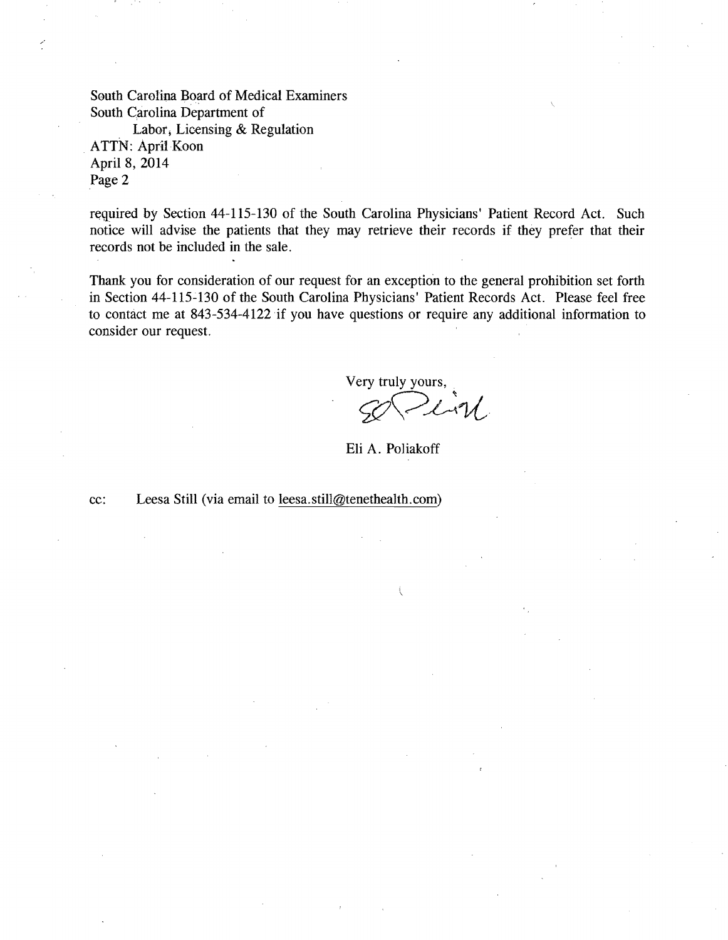South Carolina Board of Medical Examiners South Carolina Department of

Labor; Licensing & Regulation ATTN: April Koon April 8, 2014 Page 2

required by Section 44-115-130 of the South Carolina Physicians' Patient Record Act. Such notice will advise the patients that they may retrieve their records if they prefer that their records not be included in the sale.

Thank you for consideration of our request for an exception to the general prohibition set forth in Section 44-115-130 of the South Carolina Physicians' Patient Records Act. Please feel free to contact me at 843-534-4122 if you have questions or require any additional information to consider our request.

Very truly yours,  $2\sqrt{V}$ 

Eli A. Po1iakoff

/

cc: Leesa Still (via email to leesa.still@tenethealth.com)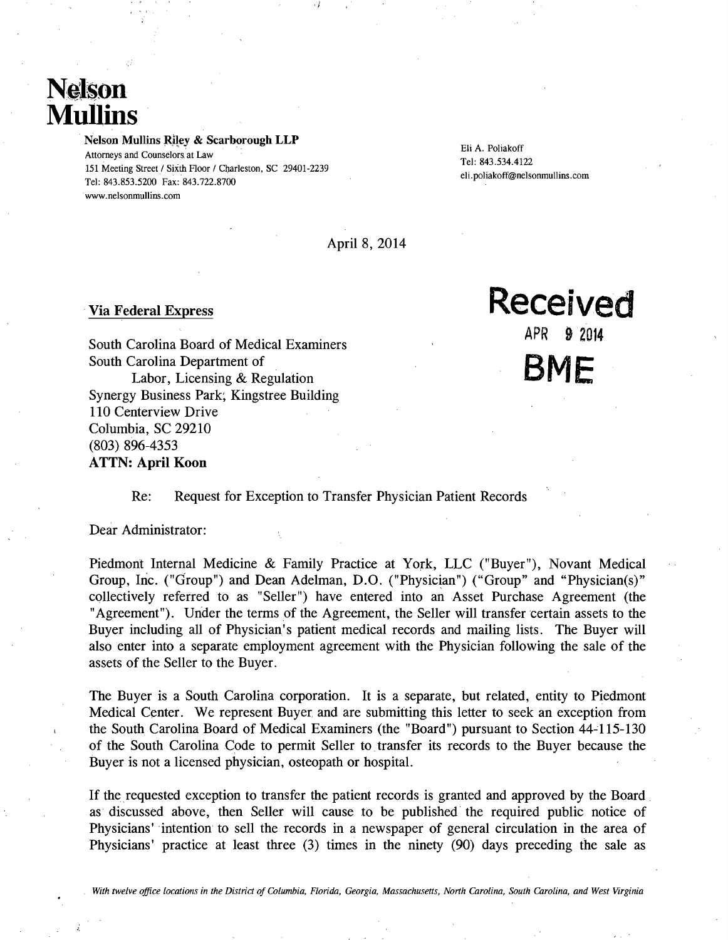# **Nelson Mullins**

Nelson Mullins Riley & Scarborough LLP Attorneys and Counselors. at Law

Tel: 843.853.5200 Fax: 843.722.8700 www.nelsonrnullins.com

Eli A. Poliakoff Tel: 843.534.4122<br>151 Meeting Street / Sixth Floor / Charleston, SC 29401-2239<br>eli.poliakoff@nelsonmullins.com

April 8, 2014

.i

South Carolina Board of Medical Examiners **APR** 9 2014 South Carolina Department of Labor, Licensing & Regulation Synergy Business Park; Kingstree Building 110 Centerview Drive Columbia, SC 29210 (803) 896-4353 ATTN: April Koon

#### Re: Request for Exception to Transfer Physician Patient Records

Dear Administrator:

Piedmont Internal Medicine & Family Practice at York, LLC ("Buyer"), Novant Medical Group, Inc. ("Group") and Dean Adelman, D.O. ("Physician") ("Group" and "Physician(s)" collectively referred to as "Seller") have entered into an Asset Purchase Agreement (the "Agreement"). Under the terms of the Agreement, the Seller will transfer certain assets to the Buyer including all of Physician's patient medical records and mailing lists. The Buyer will also enter into a separate employment agreement with the Physician following the sale of the assets of the Seller to the Buyer.

The Buyer is a South Carolina corporation. It is a separate, but related, entity to Piedmont Medical Center. We represent Buyer and are submitting this letter to seek an exception from the South Carolina Board of Medical Examiners (the "Board") pursuant to Section 44-115-130 of the South Carolina Code to permit Seller to transfer its records to the Buyer because the Buyer is not a licensed physician, osteopath or hospital.

If the requested exception to transfer the patient records is granted and approved by the Board as discussed above, then Seller will cause to be published the required public notice of Physicians' intention to sell the records in a newspaper of general circulation in the area of Physicians' practice at least three (3) times in the ninety (90) days preceding the sale as

# Via Federal Express **Received BME**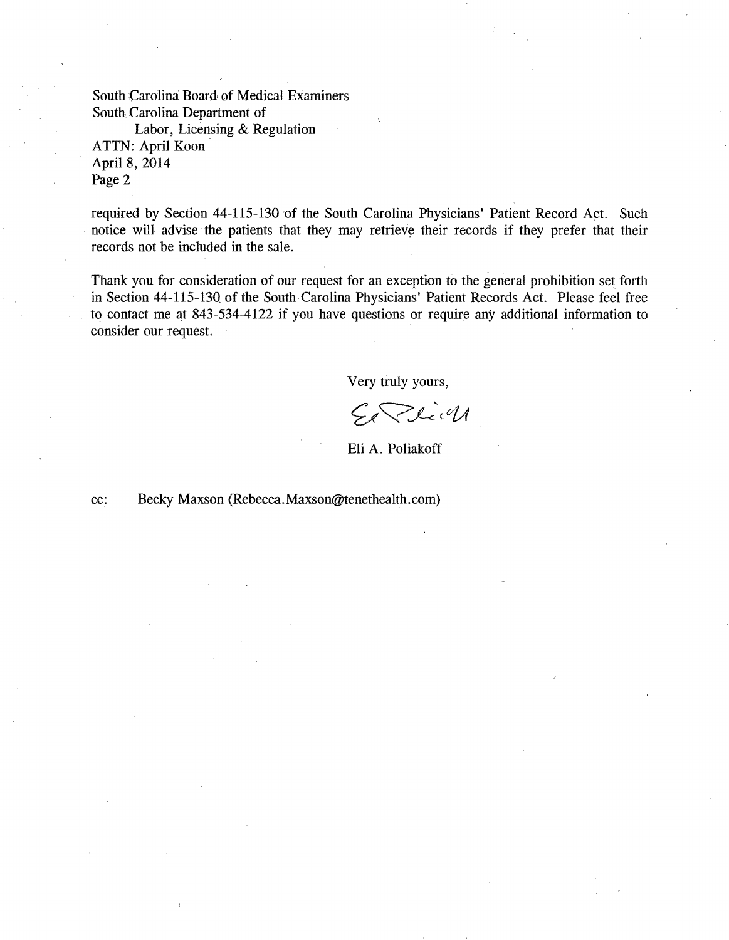South Carolina: Board of Medical Examiners South, Carolina Department of

Labor, Licensing & Regulation ATTN: April Koon April 8, 2014 Page 2

required by Section 44-115-130 of the South Carolina Physicians' Patient Record Act. Such notice will advise the patients that they may retrieve their records if they prefer that their records not be included in the sale.

Thank you for consideration of our request for an exception to the general prohibition set forth in Section 44-115-130, of the South Carolina Physicians' Patient Records Act. Please feel free to contact me at 843-534-4122 if you have questions or require any additional information to consider our request.

Very truly yours,

Zlich  $\zeta_{\mathscr{I}}$ 

Eli A. Poliakoff

cc: Becky Maxson (Rebecca.Maxson@tenethealth.com)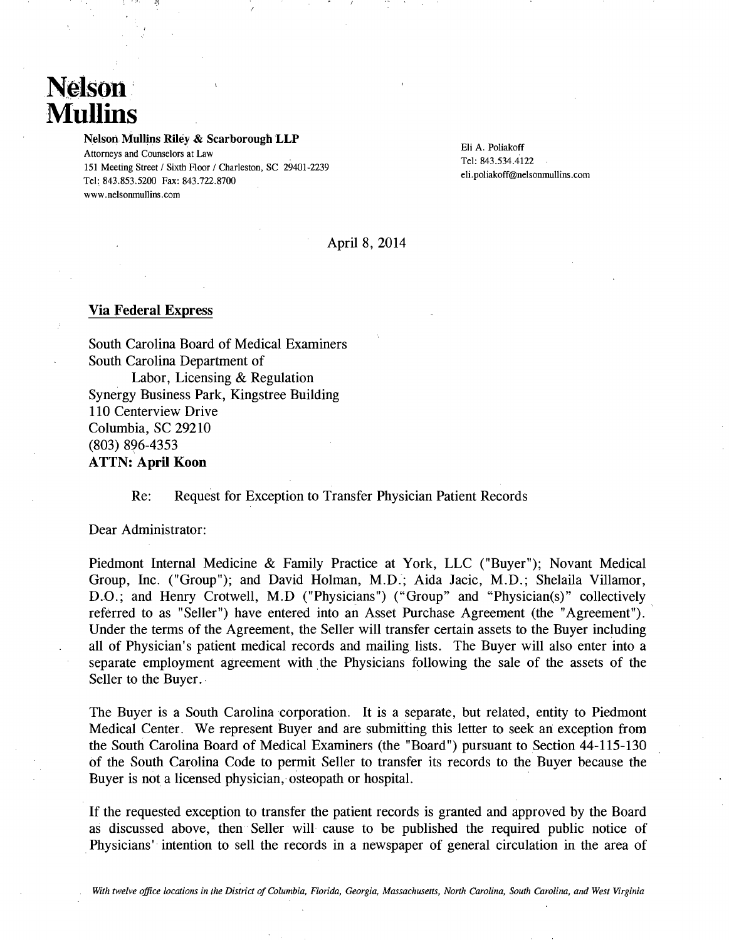# Nelson **Mullins**

Nelson Mullins Riley & Scarborough LLP

Eli A. Poliakoff Attorneys and Counselors at Law Eli A. Poliakoff Attorneys and Counselors at Law Tel: 843.534.4122 Tel: 843.534.4122<br>Tel: 843.534.4122 eli.poliakoff@nelsonmullins.com Tel: 843.853.5200 Fax: 843.722.8700 www.nelsonmullins.com

#### April 8, 2014

#### Via Federal Express

South Carolina Board of Medical Examiners South Carolina Department of Labor, Licensing & Regulation Synergy Business Park, Kingstree Building 110 Centerview Drive Columbia, SC 29210  $(803) 896-4353$ ATTN: April Koon

#### Re: Request for Exception to Transfer Physician Patient Records

Dear Administrator:

Piedmont Internal Medicine & Family Practice at York, LLC ("Buyer"); Novant Medical Group, Inc. ("Group"); and David Holman, M.D.; Aida Jacic, M.D.; Shelaila Villamor, D.O.; and Henry Crotwell, M.D ("Physicians") ("Group" and "Physician(s)" collectively referred to as "Seller") have entered into an Asset Purchase Agreement (the "Agreement"). Under the terms of the Agreement, the Seller will transfer certain assets to the Buyer including all of Physician's patient medical records and mailing lists. The Buyer will also enter into a separate employment agreement with the Physicians following the sale of the assets of the Seller to the Buyer.

The Buyer is a South Carolina corporation. It is a separate, but related, entity to Piedmont Medical Center. We represent Buyer and are submitting this letter to seek an exception from the South Carolina Board of Medical Examiners (the "Board ") pursuant to Section 44-115-130 of the South Carolina Code to permit Seller to transfer its records to the Buyer because the Buyer is not a licensed physician, osteopath or hospital.

If the requested exception to transfer the patient records is granted and approved by the Board as discussed above, then Seller will cause to be published the required public notice of Physicians' intention to sell the records in a newspaper of general circulation in the area of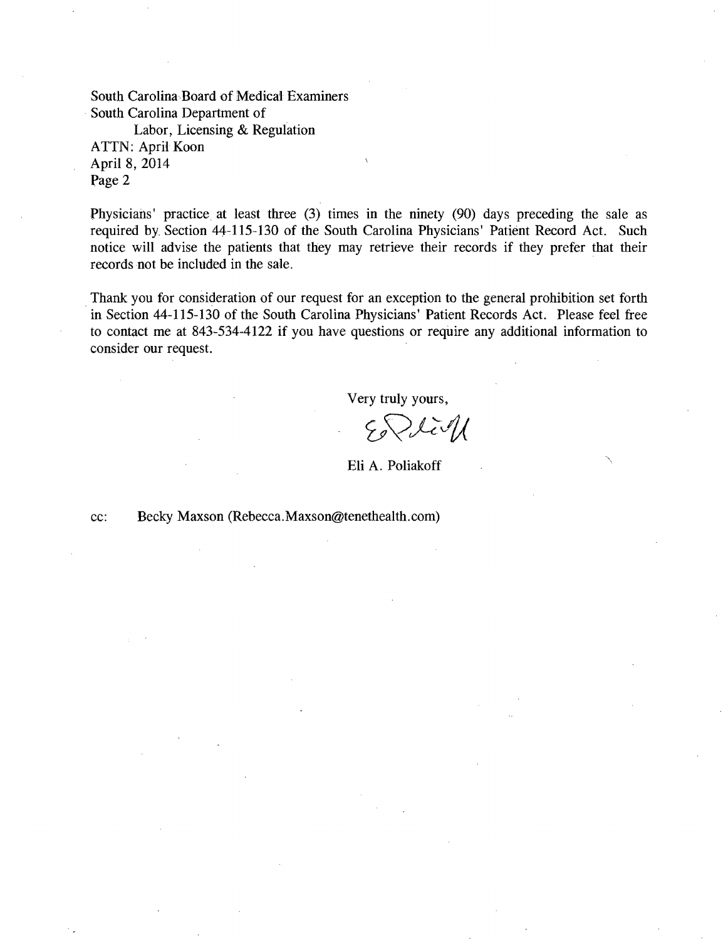South Carolina Board of Medical Examiners South Carolina Department of

Labor, Licensing & Regulation ATTN: April Koon April 8, 2014 Page 2

Physicians' practice at least three (3) times in the ninety (90) days preceding the sale as required by Section 44-115-130 of the South Carolina Physicians' Patient Record Act. Such notice will advise the patients that they may retrieve their records if they prefer that their records not be included in the sale.

Thank you for consideration of our request for an exception to the general prohibition set forth in Section 44-115-130 of the South Carolina Physicians' Patient Records Act. Please feel free to contact me at 843-534-4122 if you have questions or require any additional information to consider our request.

Very truly yours,

Eli A. Poliakoff

cc: Becky Maxson (Rebecca.Maxson@tenethealth.com)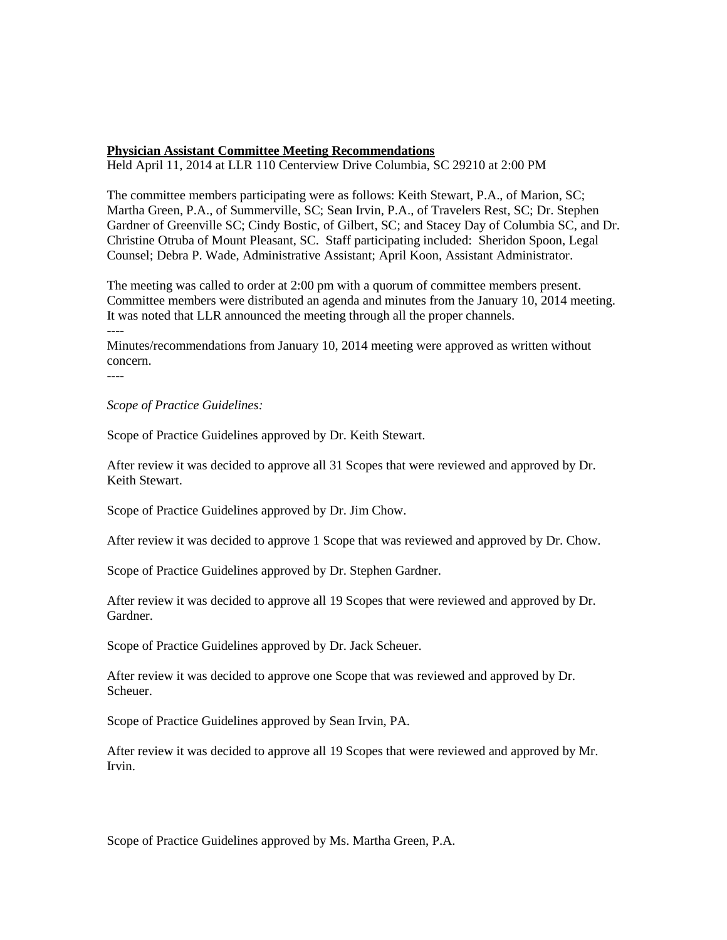#### **Physician Assistant Committee Meeting Recommendations**

Held April 11, 2014 at LLR 110 Centerview Drive Columbia, SC 29210 at 2:00 PM

The committee members participating were as follows: Keith Stewart, P.A., of Marion, SC; Martha Green, P.A., of Summerville, SC; Sean Irvin, P.A., of Travelers Rest, SC; Dr. Stephen Gardner of Greenville SC; Cindy Bostic, of Gilbert, SC; and Stacey Day of Columbia SC, and Dr. Christine Otruba of Mount Pleasant, SC. Staff participating included: Sheridon Spoon, Legal Counsel; Debra P. Wade, Administrative Assistant; April Koon, Assistant Administrator.

The meeting was called to order at 2:00 pm with a quorum of committee members present. Committee members were distributed an agenda and minutes from the January 10, 2014 meeting. It was noted that LLR announced the meeting through all the proper channels. ----

Minutes/recommendations from January 10, 2014 meeting were approved as written without concern.

----

*Scope of Practice Guidelines:*

Scope of Practice Guidelines approved by Dr. Keith Stewart.

After review it was decided to approve all 31 Scopes that were reviewed and approved by Dr. Keith Stewart.

Scope of Practice Guidelines approved by Dr. Jim Chow.

After review it was decided to approve 1 Scope that was reviewed and approved by Dr. Chow.

Scope of Practice Guidelines approved by Dr. Stephen Gardner.

After review it was decided to approve all 19 Scopes that were reviewed and approved by Dr. Gardner.

Scope of Practice Guidelines approved by Dr. Jack Scheuer.

After review it was decided to approve one Scope that was reviewed and approved by Dr. Scheuer.

Scope of Practice Guidelines approved by Sean Irvin, PA.

After review it was decided to approve all 19 Scopes that were reviewed and approved by Mr. Irvin.

Scope of Practice Guidelines approved by Ms. Martha Green, P.A.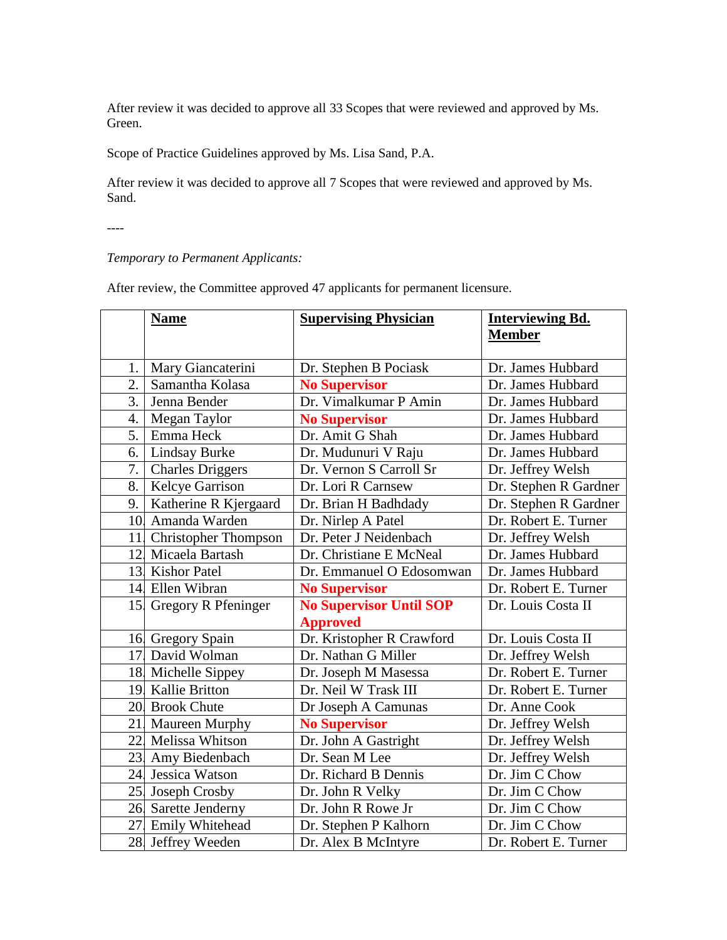After review it was decided to approve all 33 Scopes that were reviewed and approved by Ms. Green.

Scope of Practice Guidelines approved by Ms. Lisa Sand, P.A.

After review it was decided to approve all 7 Scopes that were reviewed and approved by Ms. Sand.

----

#### *Temporary to Permanent Applicants:*

After review, the Committee approved 47 applicants for permanent licensure.

|     | <b>Name</b>               | <b>Supervising Physician</b>            | <b>Interviewing Bd.</b><br><b>Member</b> |
|-----|---------------------------|-----------------------------------------|------------------------------------------|
| 1.  | Mary Giancaterini         | Dr. Stephen B Pociask                   | Dr. James Hubbard                        |
| 2.  | Samantha Kolasa           | <b>No Supervisor</b>                    | Dr. James Hubbard                        |
| 3.  | Jenna Bender              | Dr. Vimalkumar P Amin                   | Dr. James Hubbard                        |
| 4.  |                           |                                         | Dr. James Hubbard                        |
| 5.  | Megan Taylor<br>Emma Heck | <b>No Supervisor</b><br>Dr. Amit G Shah | Dr. James Hubbard                        |
|     |                           |                                         |                                          |
| 6.  | <b>Lindsay Burke</b>      | Dr. Mudunuri V Raju                     | Dr. James Hubbard                        |
| 7.  | <b>Charles Driggers</b>   | Dr. Vernon S Carroll Sr                 | Dr. Jeffrey Welsh                        |
| 8.  | Kelcye Garrison           | Dr. Lori R Carnsew                      | Dr. Stephen R Gardner                    |
| 9.  | Katherine R Kjergaard     | Dr. Brian H Badhdady                    | Dr. Stephen R Gardner                    |
|     | 10 Amanda Warden          | Dr. Nirlep A Patel                      | Dr. Robert E. Turner                     |
|     | 11 Christopher Thompson   | Dr. Peter J Neidenbach                  | Dr. Jeffrey Welsh                        |
|     | 12. Micaela Bartash       | Dr. Christiane E McNeal                 | Dr. James Hubbard                        |
|     | 13. Kishor Patel          | Dr. Emmanuel O Edosomwan                | Dr. James Hubbard                        |
|     | 14 Ellen Wibran           | <b>No Supervisor</b>                    | Dr. Robert E. Turner                     |
|     | 15 Gregory R Pfeninger    | <b>No Supervisor Until SOP</b>          | Dr. Louis Costa II                       |
|     |                           | <b>Approved</b>                         |                                          |
|     | 16. Gregory Spain         | Dr. Kristopher R Crawford               | Dr. Louis Costa II                       |
|     | 17 David Wolman           | Dr. Nathan G Miller                     | Dr. Jeffrey Welsh                        |
|     | 18. Michelle Sippey       | Dr. Joseph M Masessa                    | Dr. Robert E. Turner                     |
|     | 19. Kallie Britton        | Dr. Neil W Trask III                    | Dr. Robert E. Turner                     |
|     | 20. Brook Chute           | Dr Joseph A Camunas                     | Dr. Anne Cook                            |
|     | 21. Maureen Murphy        | <b>No Supervisor</b>                    | Dr. Jeffrey Welsh                        |
|     | 22. Melissa Whitson       | Dr. John A Gastright                    | Dr. Jeffrey Welsh                        |
| 23. | Amy Biedenbach            | Dr. Sean M Lee                          | Dr. Jeffrey Welsh                        |
|     | 24. Jessica Watson        | Dr. Richard B Dennis                    | Dr. Jim C Chow                           |
|     | 25. Joseph Crosby         | Dr. John R Velky                        | Dr. Jim C Chow                           |
|     | 26. Sarette Jenderny      | Dr. John R Rowe Jr                      | Dr. Jim C Chow                           |
|     | 27 Emily Whitehead        | Dr. Stephen P Kalhorn                   | Dr. Jim C Chow                           |
|     | 28. Jeffrey Weeden        | Dr. Alex B McIntyre                     | Dr. Robert E. Turner                     |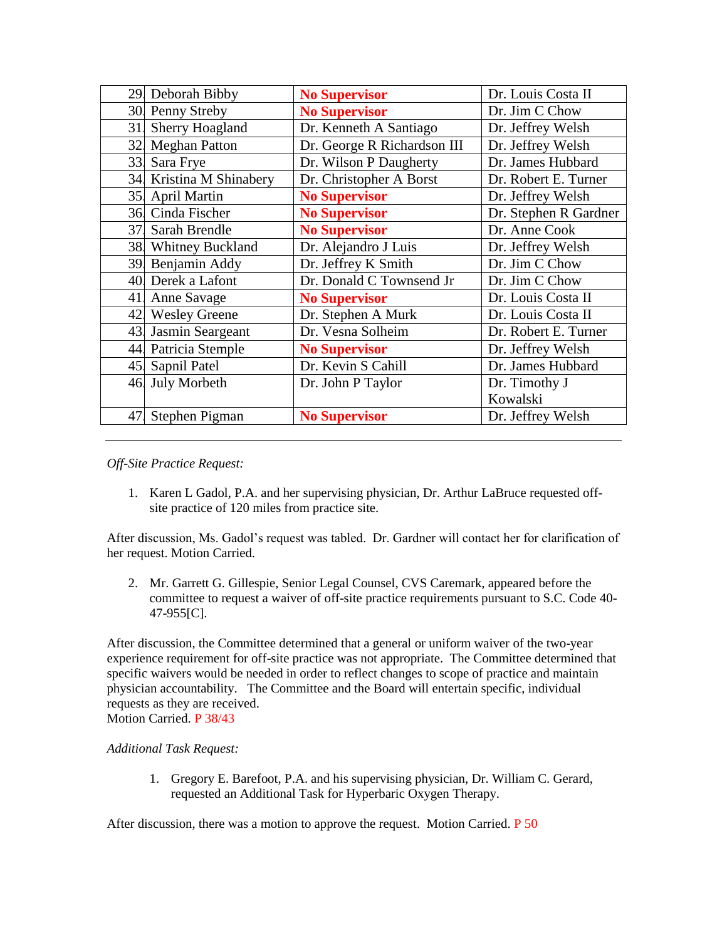|     | 29. Deborah Bibby       | <b>No Supervisor</b>        | Dr. Louis Costa II    |
|-----|-------------------------|-----------------------------|-----------------------|
|     | 30. Penny Streby        | <b>No Supervisor</b>        | Dr. Jim C Chow        |
| 31  | <b>Sherry Hoagland</b>  | Dr. Kenneth A Santiago      | Dr. Jeffrey Welsh     |
|     | 32. Meghan Patton       | Dr. George R Richardson III | Dr. Jeffrey Welsh     |
|     | 33. Sara Frye           | Dr. Wilson P Daugherty      | Dr. James Hubbard     |
|     | 34 Kristina M Shinabery | Dr. Christopher A Borst     | Dr. Robert E. Turner  |
|     | 35. April Martin        | <b>No Supervisor</b>        | Dr. Jeffrey Welsh     |
|     | 36. Cinda Fischer       | <b>No Supervisor</b>        | Dr. Stephen R Gardner |
| 37. | Sarah Brendle           | <b>No Supervisor</b>        | Dr. Anne Cook         |
|     | 38 Whitney Buckland     | Dr. Alejandro J Luis        | Dr. Jeffrey Welsh     |
|     | 39. Benjamin Addy       | Dr. Jeffrey K Smith         | Dr. Jim C Chow        |
|     | 40. Derek a Lafont      | Dr. Donald C Townsend Jr    | Dr. Jim C Chow        |
| 41. | Anne Savage             | <b>No Supervisor</b>        | Dr. Louis Costa II    |
|     | 42. Wesley Greene       | Dr. Stephen A Murk          | Dr. Louis Costa II    |
|     | 43. Jasmin Seargeant    | Dr. Vesna Solheim           | Dr. Robert E. Turner  |
|     | 44 Patricia Stemple     | <b>No Supervisor</b>        | Dr. Jeffrey Welsh     |
|     | 45. Sapnil Patel        | Dr. Kevin S Cahill          | Dr. James Hubbard     |
|     | 46. July Morbeth        | Dr. John P Taylor           | Dr. Timothy J         |
|     |                         |                             | Kowalski              |
| 47. | Stephen Pigman          | <b>No Supervisor</b>        | Dr. Jeffrey Welsh     |

*Off-Site Practice Request:*

1. Karen L Gadol, P.A. and her supervising physician, Dr. Arthur LaBruce requested offsite practice of 120 miles from practice site.

After discussion, Ms. Gadol's request was tabled. Dr. Gardner will contact her for clarification of her request. Motion Carried.

2. Mr. Garrett G. Gillespie, Senior Legal Counsel, CVS Caremark, appeared before the committee to request a waiver of off-site practice requirements pursuant to S.C. Code 40- 47-955[C].

After discussion, the Committee determined that a general or uniform waiver of the two-year experience requirement for off-site practice was not appropriate. The Committee determined that specific waivers would be needed in order to reflect changes to scope of practice and maintain physician accountability. The Committee and the Board will entertain specific, individual requests as they are received. Motion Carried. P 38/43

*Additional Task Request:*

1. Gregory E. Barefoot, P.A. and his supervising physician, Dr. William C. Gerard, requested an Additional Task for Hyperbaric Oxygen Therapy.

After discussion, there was a motion to approve the request. Motion Carried. P 50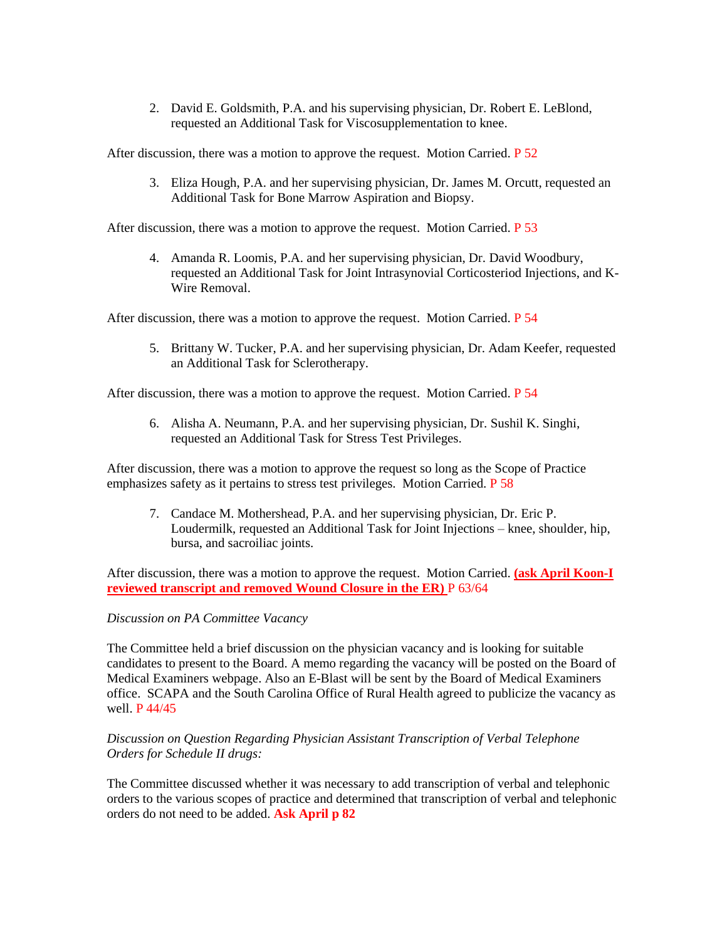2. David E. Goldsmith, P.A. and his supervising physician, Dr. Robert E. LeBlond, requested an Additional Task for Viscosupplementation to knee.

After discussion, there was a motion to approve the request. Motion Carried.  $P_{52}$ 

3. Eliza Hough, P.A. and her supervising physician, Dr. James M. Orcutt, requested an Additional Task for Bone Marrow Aspiration and Biopsy.

After discussion, there was a motion to approve the request. Motion Carried. P 53

4. Amanda R. Loomis, P.A. and her supervising physician, Dr. David Woodbury, requested an Additional Task for Joint Intrasynovial Corticosteriod Injections, and K-Wire Removal.

After discussion, there was a motion to approve the request. Motion Carried. P 54

5. Brittany W. Tucker, P.A. and her supervising physician, Dr. Adam Keefer, requested an Additional Task for Sclerotherapy.

After discussion, there was a motion to approve the request. Motion Carried. P 54

6. Alisha A. Neumann, P.A. and her supervising physician, Dr. Sushil K. Singhi, requested an Additional Task for Stress Test Privileges.

After discussion, there was a motion to approve the request so long as the Scope of Practice emphasizes safety as it pertains to stress test privileges. Motion Carried. P 58

7. Candace M. Mothershead, P.A. and her supervising physician, Dr. Eric P. Loudermilk, requested an Additional Task for Joint Injections – knee, shoulder, hip, bursa, and sacroiliac joints.

After discussion, there was a motion to approve the request. Motion Carried. **(ask April Koon-I reviewed transcript and removed Wound Closure in the ER)** P 63/64

#### *Discussion on PA Committee Vacancy*

The Committee held a brief discussion on the physician vacancy and is looking for suitable candidates to present to the Board. A memo regarding the vacancy will be posted on the Board of Medical Examiners webpage. Also an E-Blast will be sent by the Board of Medical Examiners office. SCAPA and the South Carolina Office of Rural Health agreed to publicize the vacancy as well. P 44/45

#### *Discussion on Question Regarding Physician Assistant Transcription of Verbal Telephone Orders for Schedule II drugs:*

The Committee discussed whether it was necessary to add transcription of verbal and telephonic orders to the various scopes of practice and determined that transcription of verbal and telephonic orders do not need to be added. **Ask April p 82**